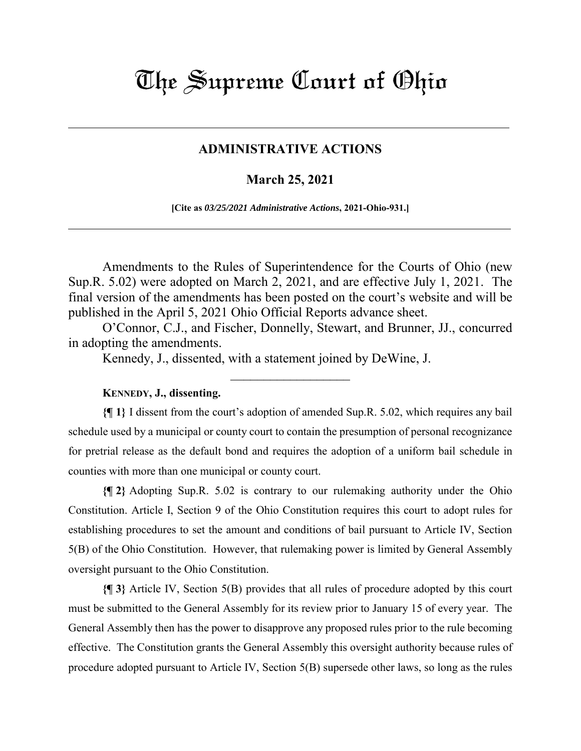## The Supreme Court of Ohio

## **ADMINISTRATIVE ACTIONS**

## **March 25, 2021**

**[Cite as** *03/25/2021 Administrative Actions***, 2021-Ohio-931.]**

Amendments to the Rules of Superintendence for the Courts of Ohio (new Sup.R. 5.02) were adopted on March 2, 2021, and are effective July 1, 2021. The final version of the amendments has been posted on the court's website and will be published in the April 5, 2021 Ohio Official Reports advance sheet.

O'Connor, C.J., and Fischer, Donnelly, Stewart, and Brunner, JJ., concurred in adopting the amendments.

 $\frac{1}{2}$ 

Kennedy, J., dissented, with a statement joined by DeWine, J.

## **KENNEDY, J., dissenting.**

**{¶ 1}** I dissent from the court's adoption of amended Sup.R. 5.02, which requires any bail schedule used by a municipal or county court to contain the presumption of personal recognizance for pretrial release as the default bond and requires the adoption of a uniform bail schedule in counties with more than one municipal or county court.

**{¶ 2}** Adopting Sup.R. 5.02 is contrary to our rulemaking authority under the Ohio Constitution. Article I, Section 9 of the Ohio Constitution requires this court to adopt rules for establishing procedures to set the amount and conditions of bail pursuant to Article IV, Section 5(B) of the Ohio Constitution. However, that rulemaking power is limited by General Assembly oversight pursuant to the Ohio Constitution.

**{¶ 3}** Article IV, Section 5(B) provides that all rules of procedure adopted by this court must be submitted to the General Assembly for its review prior to January 15 of every year. The General Assembly then has the power to disapprove any proposed rules prior to the rule becoming effective. The Constitution grants the General Assembly this oversight authority because rules of procedure adopted pursuant to Article IV, Section 5(B) supersede other laws, so long as the rules